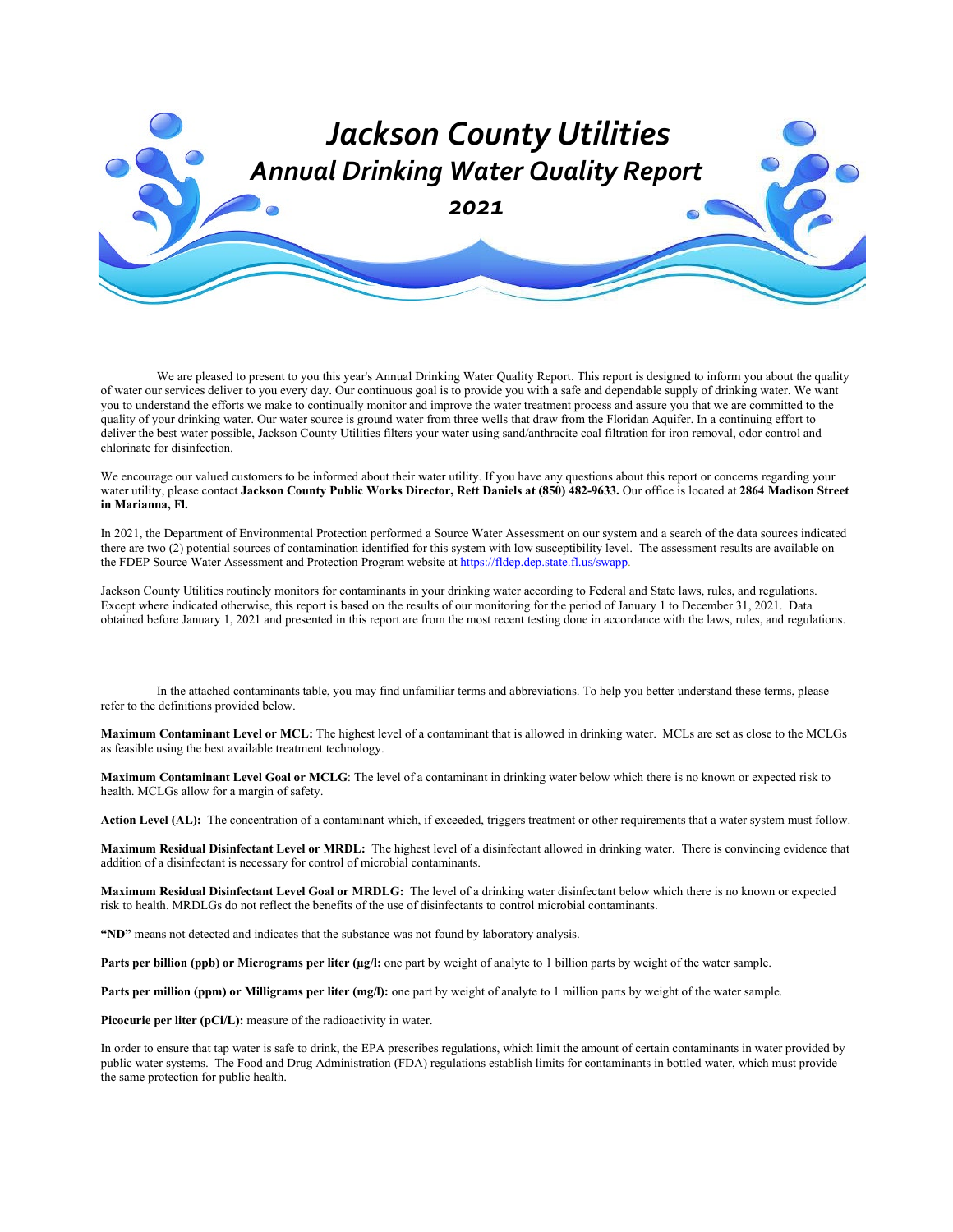

We are pleased to present to you this year's Annual Drinking Water Quality Report. This report is designed to inform you about the quality of water our services deliver to you every day. Our continuous goal is to provide you with a safe and dependable supply of drinking water. We want you to understand the efforts we make to continually monitor and improve the water treatment process and assure you that we are committed to the quality of your drinking water. Our water source is ground water from three wells that draw from the Floridan Aquifer. In a continuing effort to deliver the best water possible, Jackson County Utilities filters your water using sand/anthracite coal filtration for iron removal, odor control and chlorinate for disinfection.

We encourage our valued customers to be informed about their water utility. If you have any questions about this report or concerns regarding your water utility, please contact **Jackson County Public Works Director, Rett Daniels at (850) 482-9633.** Our office is located at **2864 Madison Street in Marianna, Fl.**

In 2021, the Department of Environmental Protection performed a Source Water Assessment on our system and a search of the data sources indicated there are two (2) potential sources of contamination identified for this system with low susceptibility level. The assessment results are available on the FDEP Source Water Assessment and Protection Program website at [https://fldep.dep.state.fl.us/swapp.](https://fldep.dep.state.fl.us/swapp/SelectPWS.asp?county=32)

Jackson County Utilities routinely monitors for contaminants in your drinking water according to Federal and State laws, rules, and regulations. Except where indicated otherwise, this report is based on the results of our monitoring for the period of January 1 to December 31, 2021. Data obtained before January 1, 2021 and presented in this report are from the most recent testing done in accordance with the laws, rules, and regulations.

In the attached contaminants table, you may find unfamiliar terms and abbreviations. To help you better understand these terms, please refer to the definitions provided below.

**Maximum Contaminant Level or MCL:** The highest level of a contaminant that is allowed in drinking water. MCLs are set as close to the MCLGs as feasible using the best available treatment technology.

**Maximum Contaminant Level Goal or MCLG**: The level of a contaminant in drinking water below which there is no known or expected risk to health. MCLGs allow for a margin of safety.

**Action Level (AL):** The concentration of a contaminant which, if exceeded, triggers treatment or other requirements that a water system must follow.

**Maximum Residual Disinfectant Level or MRDL:** The highest level of a disinfectant allowed in drinking water. There is convincing evidence that addition of a disinfectant is necessary for control of microbial contaminants.

**Maximum Residual Disinfectant Level Goal or MRDLG:** The level of a drinking water disinfectant below which there is no known or expected risk to health. MRDLGs do not reflect the benefits of the use of disinfectants to control microbial contaminants.

**"ND"** means not detected and indicates that the substance was not found by laboratory analysis.

Parts per billion (ppb) or Micrograms per liter (ug/l: one part by weight of analyte to 1 billion parts by weight of the water sample.

**Parts per million (ppm) or Milligrams per liter (mg/l):** one part by weight of analyte to 1 million parts by weight of the water sample.

Picocurie per liter (pCi/L): measure of the radioactivity in water.

In order to ensure that tap water is safe to drink, the EPA prescribes regulations, which limit the amount of certain contaminants in water provided by public water systems. The Food and Drug Administration (FDA) regulations establish limits for contaminants in bottled water, which must provide the same protection for public health.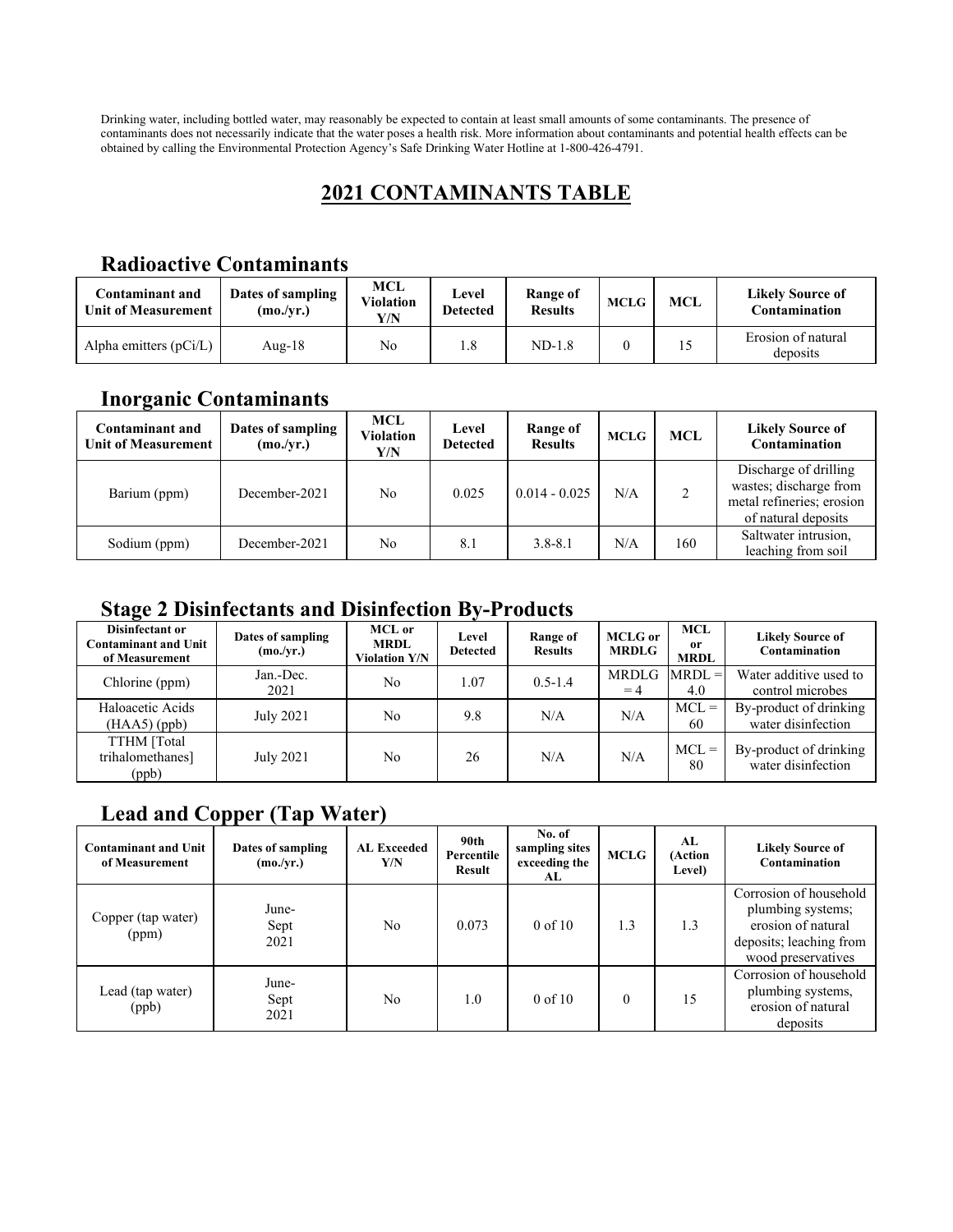Drinking water, including bottled water, may reasonably be expected to contain at least small amounts of some contaminants. The presence of contaminants does not necessarily indicate that the water poses a health risk. More information about contaminants and potential health effects can be obtained by calling the Environmental Protection Agency's Safe Drinking Water Hotline at 1-800-426-4791.

## **2021 CONTAMINANTS TABLE**

#### **Radioactive Contaminants**

| Contaminant and<br><b>Unit of Measurement</b> | Dates of sampling<br>(mo./vr.) | MCL<br><b>Violation</b><br>Y/N | Level<br><b>Detected</b> | Range of<br><b>Results</b> | <b>MCLG</b> | <b>MCL</b> | <b>Likely Source of</b><br>Contamination |
|-----------------------------------------------|--------------------------------|--------------------------------|--------------------------|----------------------------|-------------|------------|------------------------------------------|
| Alpha emitters $(pCi/L)$                      | Aug-18                         | No                             | 1.8                      | $ND-1.8$                   |             |            | Erosion of natural<br>deposits           |

## **Inorganic Contaminants**

| <b>Contaminant and</b><br><b>Unit of Measurement</b> | Dates of sampling<br>(mo./vr.) | MCL<br><b>Violation</b><br>Y/N | Level<br><b>Detected</b> | Range of<br><b>Results</b> | <b>MCLG</b> | <b>MCL</b> | <b>Likely Source of</b><br>Contamination                                                            |
|------------------------------------------------------|--------------------------------|--------------------------------|--------------------------|----------------------------|-------------|------------|-----------------------------------------------------------------------------------------------------|
| Barium (ppm)                                         | December-2021                  | No.                            | 0.025                    | $0.014 - 0.025$            | N/A         |            | Discharge of drilling<br>wastes; discharge from<br>metal refineries; erosion<br>of natural deposits |
| Sodium (ppm)                                         | December-2021                  | No                             | 8.1                      | $3.8 - 8.1$                | N/A         | 160        | Saltwater intrusion,<br>leaching from soil                                                          |

#### **Stage 2 Disinfectants and Disinfection By-Products**

| Disinfectant or<br><b>Contaminant and Unit</b><br>of Measurement | Dates of sampling<br>(mo./yr.) | MCL or<br><b>MRDL</b><br><b>Violation Y/N</b> | Level<br><b>Detected</b> | Range of<br><b>Results</b> | <b>MCLG</b> or<br><b>MRDLG</b> | <b>MCL</b><br>0r<br><b>MRDL</b> | <b>Likely Source of</b><br>Contamination     |
|------------------------------------------------------------------|--------------------------------|-----------------------------------------------|--------------------------|----------------------------|--------------------------------|---------------------------------|----------------------------------------------|
| Chlorine (ppm)                                                   | Jan.-Dec.<br>2021              | No                                            | 1.07                     | $0.5 - 1.4$                | MRDLG<br>$=4$                  | $MRDL =$<br>4.0                 | Water additive used to<br>control microbes   |
| Haloacetic Acids<br>$(HAA5)$ (ppb)                               | July 2021                      | No                                            | 9.8                      | N/A                        | N/A                            | $MCL =$<br>60                   | By-product of drinking<br>water disinfection |
| TTHM [Total<br>trihalomethanes]<br>(ppb)                         | July 2021                      | No                                            | 26                       | N/A                        | N/A                            | $MCL =$<br>80                   | By-product of drinking<br>water disinfection |

# **Lead and Copper (Tap Water)**

| <b>Contaminant and Unit</b><br>of Measurement | Dates of sampling<br>(mo./yr.) | <b>AL Exceeded</b><br>Y/N | 90th<br>Percentile<br><b>Result</b> | No. of<br>sampling sites<br>exceeding the<br>AL | <b>MCLG</b> | AL<br>(Action<br>Level) | <b>Likely Source of</b><br>Contamination                                                                           |
|-----------------------------------------------|--------------------------------|---------------------------|-------------------------------------|-------------------------------------------------|-------------|-------------------------|--------------------------------------------------------------------------------------------------------------------|
| Copper (tap water)<br>(ppm)                   | June-<br>Sept<br>2021          | No                        | 0.073                               | $0$ of $10$                                     | 1.3         | 1.3                     | Corrosion of household<br>plumbing systems;<br>erosion of natural<br>deposits; leaching from<br>wood preservatives |
| Lead (tap water)<br>(ppb)                     | June-<br>Sept<br>2021          | No                        | $1.0^{\circ}$                       | $0 \text{ of } 10$                              | $\theta$    | 15                      | Corrosion of household<br>plumbing systems,<br>erosion of natural<br>deposits                                      |